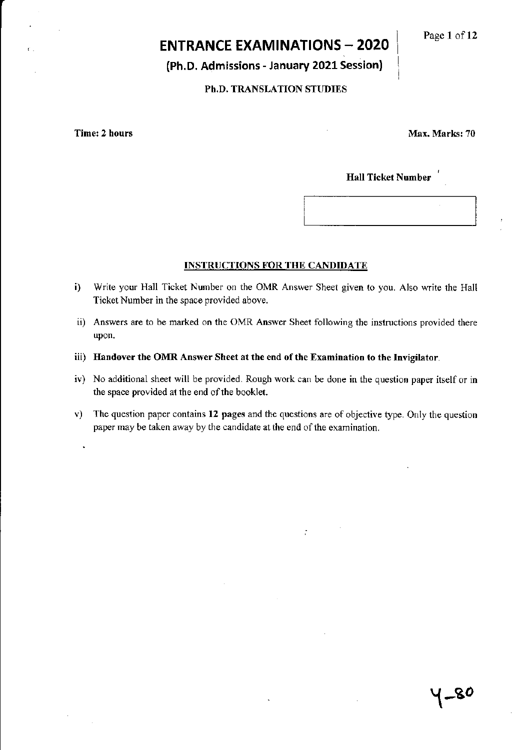Page 1 of 12

# **ENTRANCE EXAMINATIONS - 2020**

(Ph.D, Admissions - January 2021 session)

### Ph.D. TRANSLATION STIIDIES

Time: 2 hours

 $\ddot{\phantom{0}}$ 

Max. Marks: ?0

 $\mathsf{L}^{\mathsf{so}}$ 

**Hall Ticket Number** 

#### INSTRUCTIONS FOR THE CANDIDATE

- i) Write your Hall Ticket Number on the OMR Answer Sheet given to you. Also write the Hall Ticket Number in the space provided above.
- ii) Answers are to be marked on the OMR Answer Sheet following the instructions provided there upon.
- iii) Handover the OMR Answer Sheet at the end of the Examination to the Invigilator.
- iv) No additional sheet will be provided. Rough work can be done in the question paper itself or in the space provided at the end of the booklet.
- $v)$  The question paper contains 12 pages and the questions are of objective type. Only the question paper may be taken away by the candidate at the end of the examination.

 $\ddot{\phantom{a}}$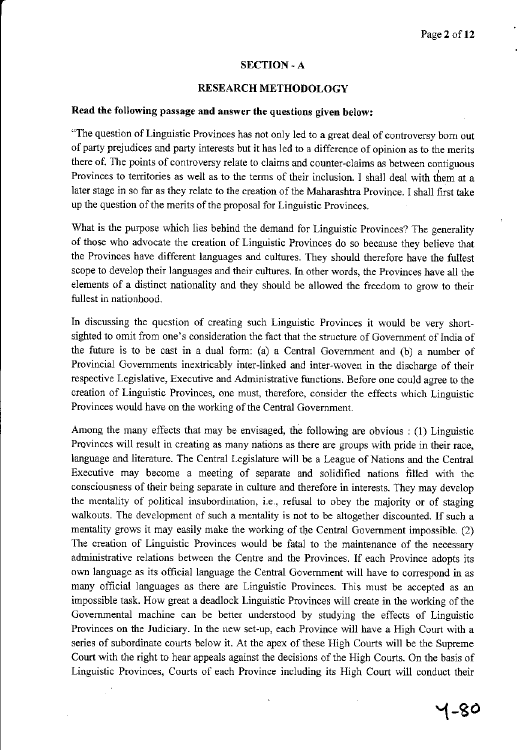#### SECTION . A

#### RESEARCH METHODOLOGY

### Read the following passage and answer the questions given below:

"The question of Linguistic Provinces has not only led to a great deal of controversy born out of party prejudices and party interests but it has led to a difference of opinion as to the merits there of. The points of controversy relate to claims and counter-claims as between contiguous Provinces to territories as well as to the terms of their inclusion. I shall deal with them at a later stage in so far as they relate to the creation of the Maharashtra Province. I shall first take up the question of the merits of the proposal for Linguistic Provinces.

What is the purpose which lies behind the demand for Linguistic Provinces? The generality of those who advocate the creation of Linguistic Provinces do so because they believe that the Provinces have different languages and cultures. They should therefore have the fullest scope to develop their languages and their cultures. In other words, the Provinces have all the elements of a distinct nationality and they should be allowed the freedom to grow to their fullest in nationhood.

In discussing the question of creating such Linguistic Provinces it would be very shortsighted to omit from one's consideration the fact that the structure of Govemment of India of the future is to be cast in a dual form: (a) a Central Government and (b) a number of Provincial Governments inextricably inter-linked and inter-woven in the discharge of their respective Legislative, Executive and Administrative firnctions. Before one could agree to the creation of Linguistic Provinces, one must, therefore, consider the effects which Linguistic Provinces would have on the working of the Central Government.

Among the many effects that may be envisaged, the following are obvious : (1) Linguistic Provinces will result in creating as many nations as there are groups with pride in their race, language and literature. The Central Legislature will be a League of Nations and the Central Executive may become a meeting of separate and solidified nations fiiied with the consciousness of their being separate in culture and therefore in interests. They may develop the mentality of political insubordination, i.e., refusal to obey the majority or of staging walkouts. The development of such a mentality is not to be altogether discounted. If such a mentality grows it may easily make the working of the Central Govemment impossible. (2) The creation of Linguistic Provinces would be fatal to the maintenance of the necessary administrative relations between the Centre and the Provinces. If each Province adopts its own language as its official language the Central Government will have to correspond in as many official languages as there are Linguistic Provinces. This must be accepted as an impossible task. How great a deadlock Linguistic Provinces will create in the working of the Governmental machine can be better understood by studying the effects of Linguistic Provinces on the Judiciary. ln the new set-up, each Province will have a High Cout with a series of subordinate courts below it. At the apex of these High Courts will be the Supreme Court with the right to hear appeals against the decisions of the High Courts. On the basis of Linguistic Provinces, Courts of each Province including its High Cout will conduct their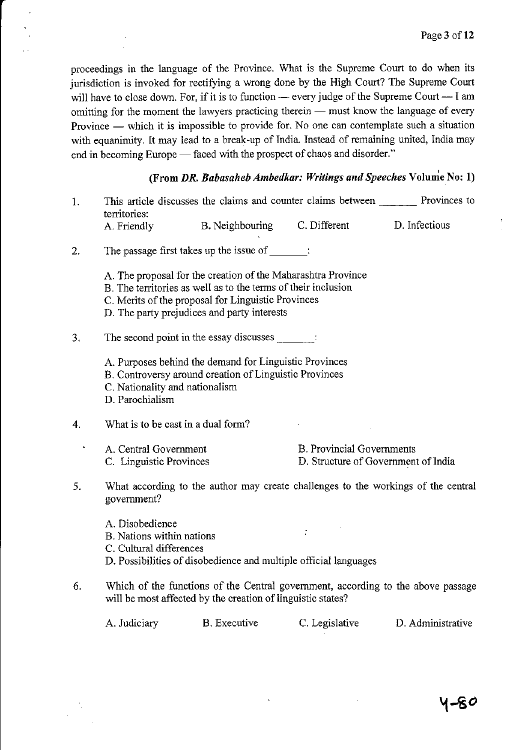proceedings in the language of the Province. What is the Supreme Cout to do when its jurisdiction is invoked for rectifying a wrong done by the High Court? The Supreme Court will have to close down. For, if it is to function — every judge of the Supreme Court — I am<br>equiting for the moment the layers precticing therein — must know the language of every will have to close down, For, if it is to function — every judge of the supreme Court — I am<br>omitting for the moment the lawyers practicing therein — must know the language of every Province which it is impossible to provide for. No one can contemplate such a situation Province — which it is impossible to provide for. No one can comempiate such a situation<br>with equanimity. It may lead to a break-up of India. Instead of remaining united, India may end in becoming Europe – faced with the prospect of chaos and disorder."

ł,

## (From DR. Babasaheb Ambedkar: Writings and Speeches Volume No: 1)

| 1. | territories:                                                            |                                                                                                                                                                                     | This article discusses the claims and counter claims between                      | Provinces to  |
|----|-------------------------------------------------------------------------|-------------------------------------------------------------------------------------------------------------------------------------------------------------------------------------|-----------------------------------------------------------------------------------|---------------|
|    | A. Friendly                                                             | B. Neighbouring C. Different                                                                                                                                                        |                                                                                   | D. Infectious |
| 2. |                                                                         | The passage first takes up the issue of :                                                                                                                                           |                                                                                   |               |
|    | D. The party prejudices and party interests                             | A. The proposal for the creation of the Maharashtra Province<br>B. The territories as well as to the terms of their inclusion<br>C. Merits of the proposal for Linguistic Provinces |                                                                                   |               |
| 3. |                                                                         | The second point in the essay discusses ________.                                                                                                                                   |                                                                                   |               |
|    | C. Nationality and nationalism<br>D. Parochialism                       | A. Purposes behind the demand for Linguistic Provinces<br>B. Controversy around creation of Linguistic Provinces                                                                    |                                                                                   |               |
| 4. | What is to be cast in a dual form?                                      |                                                                                                                                                                                     |                                                                                   |               |
|    | A. Central Government<br>C. Linguistic Provinces                        |                                                                                                                                                                                     | <b>B.</b> Provincial Governments<br>D. Structure of Government of India           |               |
| 5. | government?                                                             |                                                                                                                                                                                     | What according to the author may create challenges to the workings of the central |               |
|    | A. Disobedience<br>B. Nations within nations<br>C. Cultural differences | D. Possibilities of disobedience and multiple official languages                                                                                                                    |                                                                                   |               |
| 6. |                                                                         | will be most affected by the creation of linguistic states?                                                                                                                         | Which of the functions of the Central government, according to the above passage  |               |

A. Judiciary B. Executive C. Legislative D. Administrative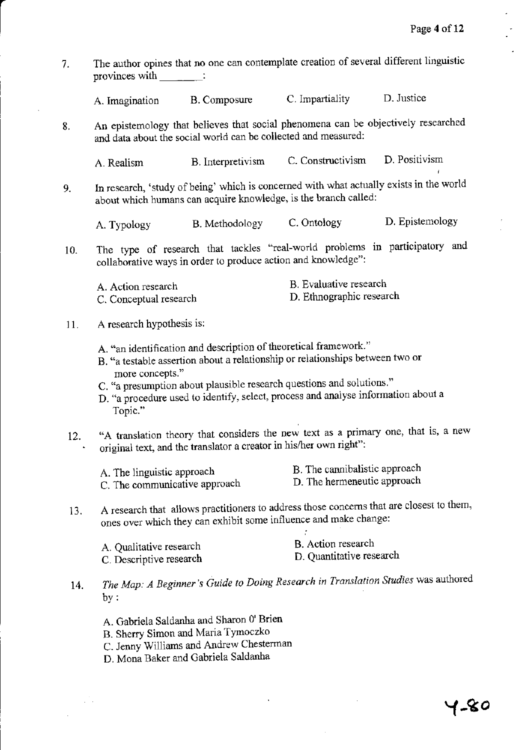7. The author opines that no one can contemplate creation of seveml different linguistic provinces with 8. An epistemology that believes that social phenomena can be objectively researched A. Imagination B. Composue C. Impartiaiity D. Justice and data about the social world can be collected and measured: A. Realism B. Interpretivism C. Constructivism D. Positivism 9. In research, 'study of being' which is concerned with what actually exists in the world about which humans can acquire knowledge, is the branch called: A. Typology B. Methodology C. Ontology D. Epistemology 10. The type of research that tackles "real-world problems in participatory and collaborative ways in order to produce action and knowledge": A. Action research B. Evaluative research B. Evaluative research B. Evaluative research D. Ethnographic research C. Conceptual research 11. <sup>A</sup>research hypothesis is: A. "an identification and description of theoretical framework." B. "a testable assertion about a relationship or relationships between two or more concepts." C. "a presumption about plausible research questions and solutions " D. "a procedure used to identify, select, process and analyse information about a Topic." 12. "A translation theory that considers the new text as a primary one, that is, a new original text, and the translator a creator in his/her own right": A. The linguistic approach B. The cannibalistic approach<br>C. The communicative approach D. The hermeneutic approach C. The communicative approach 13. <sup>A</sup>research that allows practitioners to address those concems that are closest to them' ones over which they can exhibit some influence and make change: A. Qualitative research B. Action research B. Action research B. Quantitative res D. Quantitative research 14. The Map: A Beginner's Guide to Doing Research in Translation Studies was authored by: A. Gabriela Saldanha and Sharon 0' Brien B. Sherry Simon and Maria TYmoczko C. Jenny Williams and Andrew Chesterman D. Mona Baker and Cabriela Saldanha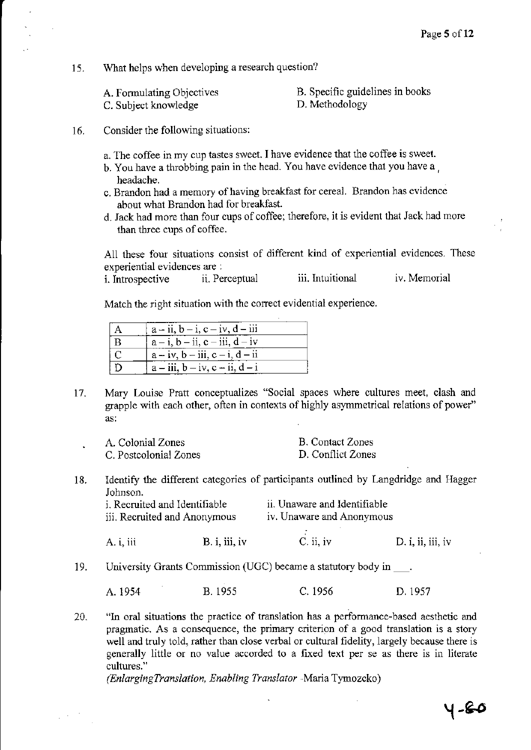15. What helps when developing a research question?

| A. Formulating Objectives | B. Specific guidelines in books |
|---------------------------|---------------------------------|
| C. Subject knowledge      | D. Methodology                  |

- 16. Consider the following situations:
	- a. The coffee in my cup tastes sweet. I have evidence that the coffee is sweet.
	- b. You have a throbbing pain in the head. You have evidence that you have a , headache.
	- c. Brandon had a memory of having breakfast for cereal. Brandon has evidence about what Brandon had for breakfast.
	- d. Jack had more than four cups of coffee; therefore, it is evident that Jack had more than three cups of coffee.

All these four situations consist of different kind of experiential evidences. These experiential evidences are :

i. Introspective ii. Perceptual iii. Intuitional iv. Memorial

Match the right situation with the correct evidential experience.

|    | $a - ii$ , $b - i$ , $c - iv$ , $d - iii$ |
|----|-------------------------------------------|
| B  | $a - i$ , $b - ii$ , $c - iii$ , $d - iv$ |
| -C | $a - iv$ , $b - iii$ , $c - i$ , $d - ii$ |
| D  | $a - ii, b - iv, c - ii, d - i$           |

17. Mary Louise Pratt conceptualizes "Social spaces where cultures meet, clash and grapple with each other, often in contexts of highly asymmetrical relations of power" as:

| A. Colonial Zones     | B. Contact Zones  |
|-----------------------|-------------------|
| C. Postcolonial Zones | D. Conflict Zones |

18. Identify the different categories of participants outlined by Langdridge and Hagger Johnson. i. Recruited and Identifiable iii. Unaware and Identifiable<br>iii. Recruited and Anonymous iv. Unaware and Anonymous

iii. Recruited and Anonymous

A. i, iii B. i, iii, iv C. ii, iv D. i, ii, iii, iv

19. University Grants Commission (UGC) became a statutory body in

| A. 1954 | B. 1955 | C. 1956 | D. 1957 |
|---------|---------|---------|---------|

20. "In oral situations the practice of translation has a performance-based aesthetic and pragmatic. As a consequence, the primary criterion of a good translation is a story well and truly told, rather than close verbal or cultural fidelity, largely because there is generally little or no value accorded to a fixed text per se as there is in literate cultures."

(EnlargingTranslation, Enabling Translator -Maria Tymozcko)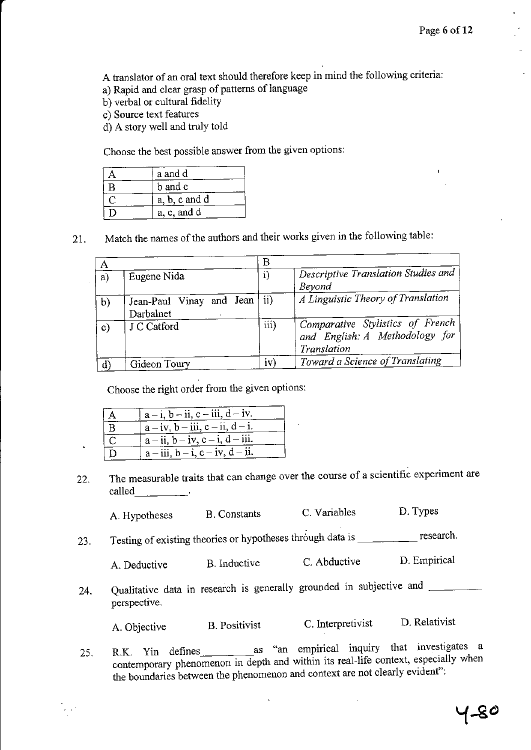A translator of an oral text should therefore keep in mind the following criteria:

a) Rapid and clear grasp of patterns of language

- b) verbal or cultural fidelity
- c) Source text features
- d) A story well and truly told

Choose the best possible answer from the given options:

|   | a and d           |
|---|-------------------|
| B | b and c           |
|   | $a, b, c$ and $d$ |
|   | a, c, and d       |

Match the names of the authors and their works given in the following table: 21.

| А            |                                       | B    |                                                                                   |
|--------------|---------------------------------------|------|-----------------------------------------------------------------------------------|
| a)           | Eugene Nida                           | i)   | Descriptive Translation Studies and<br>Beyond                                     |
| b)           | Jean-Paul Vinay and Jean<br>Darbalnet | ii)  | A Linguistic Theory of Translation                                                |
| $\mathbf{c}$ | J C Catford                           | iii) | Comparative Stylistics of French<br>and English: A Methodology for<br>Translation |
| $\mathbf{d}$ | Gideon Toury                          | iv)  | Toward a Science of Translating                                                   |

Choose the right order from the given options:

| $a - i$ , $b - ii$ , $c - iii$ , $d - iv$ . |
|---------------------------------------------|
| $a - iv$ , $b - iii$ , $c - ii$ , $d - i$ . |
| $a - ii$ , $b - iv$ , $c - i$ , $d - iii$ . |
| $a - iii$ , $b - i$ , $c - iv$ , $d - ii$ . |

The measurable traits that can change over the course of a scientific experiment are  $22.$ called

D. Types C. Variables **B.** Constants A. Hypotheses

Testing of existing theories or hypotheses through data is \_ research. 23.

D. Empirical C. Abductive **B.** Inductive A. Deductive

- Qualitative data in research is generally grounded in subjective and \_\_\_\_\_\_\_\_ 24. perspective.
	- D. Relativist C. Interpretivist **B.** Positivist A. Objective
- as "an empirical inquiry that investigates a R.K. Yin defines 25. contemporary phenomenon in depth and within its real-life context, especially when the boundaries between the phenomenon and context are not clearly evident":

५-८०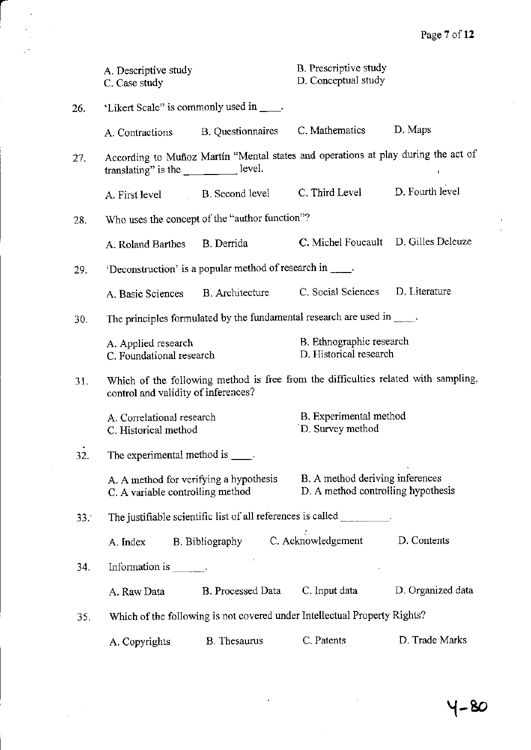|      | A. Descriptive study<br>C. Case study                                      |                                                            | B. Prescriptive study<br>D. Conceptual study                                       |                   |
|------|----------------------------------------------------------------------------|------------------------------------------------------------|------------------------------------------------------------------------------------|-------------------|
| 26.  | 'Likert Scale" is commonly used in ____.                                   |                                                            |                                                                                    |                   |
|      | A. Contractions                                                            |                                                            | B. Questionnaires C. Mathematics                                                   | D. Maps           |
| 27.  | translating" is the ____________ level.                                    |                                                            | According to Muñoz Martín "Mental states and operations at play during the act of  |                   |
|      |                                                                            |                                                            | A. First level B. Second level C. Third Level D. Fourth level                      |                   |
| 28.  |                                                                            | Who uses the concept of the "author function"?             |                                                                                    |                   |
|      | A. Roland Barthes                                                          | B. Derrida                                                 | C. Michel Foucault D. Gilles Deleuze                                               |                   |
| 29.  |                                                                            | 'Deconstruction' is a popular method of research in _____. |                                                                                    |                   |
|      | A. Basic Sciences                                                          | <b>B.</b> Architecture                                     | C. Social Sciences                                                                 | D. Literature     |
| 30.  |                                                                            |                                                            | The principles formulated by the fundamental research are used in ____.            |                   |
|      | A. Applied research<br>C. Foundational research                            |                                                            | B. Ethnographic research<br>D. Historical research                                 |                   |
| 31.  | control and validity of inferences?                                        |                                                            | Which of the following method is free from the difficulties related with sampling, |                   |
|      | A. Correlational research<br>C. Historical method                          |                                                            | B. Experimental method<br>D. Survey method                                         |                   |
| 32.  | The experimental method is                                                 |                                                            |                                                                                    |                   |
|      | A. A method for verifying a hypothesis<br>C. A variable controlling method |                                                            | B. A method deriving inferences<br>D. A method controlling hypothesis              |                   |
| 33.5 |                                                                            |                                                            | The justifiable scientific list of all references is called ________.              |                   |
|      | A. Index                                                                   | B. Bibliography                                            | C. Acknowledgement                                                                 | D. Contents       |
| 34.  | Information is $\qquad \qquad$ .                                           |                                                            |                                                                                    |                   |
|      | A. Raw Data                                                                | B. Processed Data                                          | C. Input data                                                                      | D. Organized data |
| 35.  |                                                                            |                                                            | Which of the following is not covered under Intellectual Property Rights?          |                   |
|      | A. Copyrights                                                              | <b>B.</b> Thesaurus                                        | C. Patents                                                                         | D. Trade Marks    |

 $\bar{\mathcal{A}}$ 

 $\cdot$ 

t

l,

 $\langle \rangle$ 

÷.

 $\bar{z}$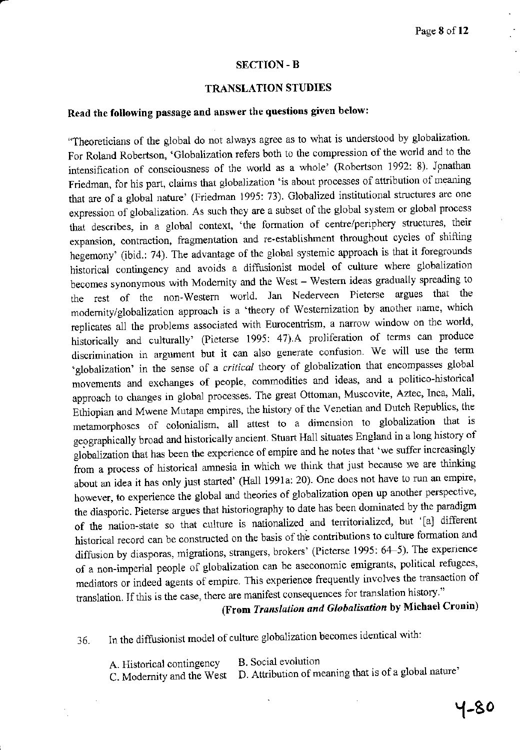#### SECTION - B

### TRANSLATION STUDIES

### Read the following passage and answer the questions given below:

"Theoreticians of the global do not always agree as to what is understood by globalization. For Roland Robertson, 'Globalization refers both to the compression of the world and to the intensification of consciousness of the world as a whole' (Robertson 1992: 8). Jonathan Friedman, for his part, claims that globalization 'is about processes of attribution of meaning that are of a global natue' (Friedman 1995: 73). Globalized institutional stuctures are one expression of globalization. As such they are a subset of the global system or global process that describes, in a global context, 'the formation of centre/periphery structures, their expansion, contraction, fragmentation and re-establishment throughout cycles of shifting hegemony' (ibid.: 74). The advantage of the global systemic approach is that it foregrounds historical contingency and avoids a diffusionist model of culture where globalization becomes synonymous with Modernity and the West - Western ideas gradually spreading to the rest of the non-Western world. Jan Nederveen Pieterse argues that the modernity/globalization approach is a 'theory of Westernization by another name, which replicates all the problems associated with Eurocentrism, a narrow window on the world, historically and culturally' (Pieterse 1995: 47).A proliferation of terms can produce discrimination in argument but it can also genente confusion We will use the term 'globalization' in the sense of a *critical* theory of globalization that encompasses global movements and exchanges of people, commodities and ideas, and a politico-historical approach to changes in global processes. The great Ottoman, Muscovite, Aztec, Inca, Mali, Ethiopian and Mwene Mutapa empires, the history of the Venetian and Dutch Republics, the metamorphoses of colonialism, all attest to a dimension to globalization that is geographically broad and historically ancient. Stuart Hall situates England in a long history of globalization that has been the experience of empire and he notes that 'we suffer increasingly from a process of historical amnesia in which we think that just because we are thinking about an idea it has only just started' (Hall 1991a: 20). One does not have to run an empire, however, to experience the global and theories of globalization open up another perspective, the diasporic. Pieterse argues that historiography to date has been dominated by the paradigm of the nation-state so that culture is nationalized and territorialized, but '[a] different historical record can be constructed on the basis of the contributions to culture formation and diffusion by diasporas, migrations, strangers, brokers' (Pieterse 1995: 64-5). The experience of a non-imperial people of globalization can be aseconomic emigrants, political refugees, mediators or indeed agents of empire. This experience frequently involves the transaction of translation. If this is the case, there are manifest consequences for translation history."

# (From Translation and Globalisation by Michael Cronin)

36. In the diffusionist model of culture globalization becomes identical with:

A. Historical contingency B. Social evolution

C. Modernity and the West D. Attribution of meaning that is of a global nature'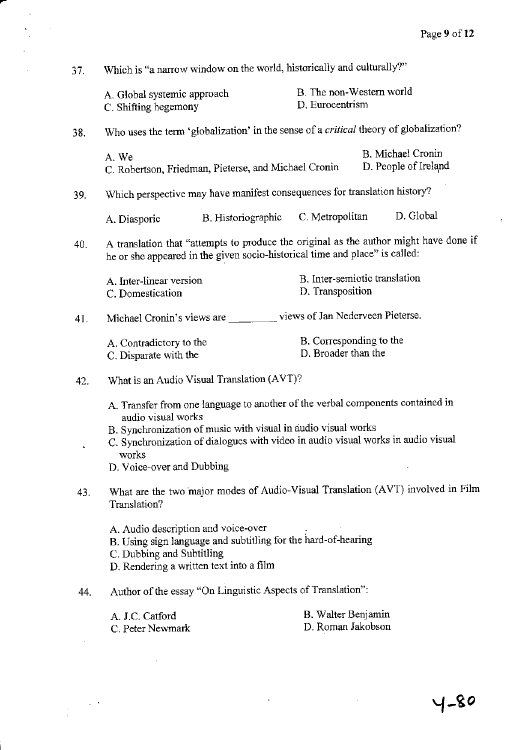|  | Which is "a narrow window on the world, historically and culturally?" |
|--|-----------------------------------------------------------------------|
|--|-----------------------------------------------------------------------|

| A. Global systemic approach | B. The non-Western world |
|-----------------------------|--------------------------|
| C. Shifting hegemony        | D. Eurocentrism          |

# 38. Who uses the term 'globalization' in the sense of a *critical* theory of globalization?

| A. We                                                | B. Michael Cronin    |
|------------------------------------------------------|----------------------|
| C. Robertson, Friedman, Pieterse, and Michael Cronin | D. People of Ireland |

# 39. Which perspective may have manifest consequences for translation history?

A. Diasporic B. Historiographic C. Metropolitan D. Global

40. A translation that "aftempts to produce the original as the author might have done if he or she appeared in the given socio-historical time and place" is called:

|     | A. Inter-linear version<br>C. Domestication      | B. Inter-semiotic translation<br>D. Transposition |
|-----|--------------------------------------------------|---------------------------------------------------|
| 41. | Michael Cronin's views are                       | views of Jan Nederveen Pieterse.                  |
|     | A. Contradictory to the<br>C. Disparate with the | B. Corresponding to the<br>D. Broader than the    |

### 42. What is an Audio Visual Translation (AVT)?

- A. Transfer from one language to another of the verbal components contained in audio visual works
- B. Synchronization of music with visual in audio visual works
- . C. Synchronization of dialogues with video in audio visual works in audio visual works
	- D. Voice-over and Dubbing
- 43. What are the two major modes of Audio-Visual Translation (AVT) involved in Film Translation?
	- A. Audio description and voice-over :
	- B. Using sign language and subtitling for the hard-of-hearing
	- C. Dubbing and Subtitling

 $\mathbb{R}^{n \times n}$ 

- D. Rendering a written text into a film
- 44. Author of the essay "On Linguistic Aspects of Translation":

| A. J.C. Catford  | B. Walter Benjamin |
|------------------|--------------------|
| C. Peter Newmark | D. Roman Jakobson  |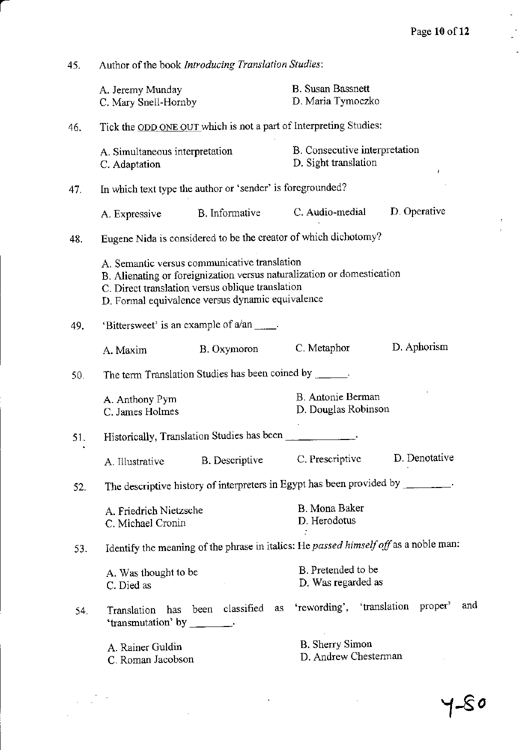45. Author of the book Introducing Translation Studies:

 $\frac{1}{2} \left( \frac{1}{2} \right)^2 \frac{1}{2} \left( \frac{1}{2} \right)^2$ 

|     | A. Jeremy Munday<br>C. Mary Snell-Hornby                                                                                                                                                                                       | <b>B.</b> Susan Bassnett<br>D. Maria Tymoczko         |  |  |  |
|-----|--------------------------------------------------------------------------------------------------------------------------------------------------------------------------------------------------------------------------------|-------------------------------------------------------|--|--|--|
| 46. | Tick the ODD ONE OUT which is not a part of Interpreting Studies:                                                                                                                                                              |                                                       |  |  |  |
|     | A. Simultaneous interpretation<br>C. Adaptation                                                                                                                                                                                | B. Consecutive interpretation<br>D. Sight translation |  |  |  |
| 47. | In which text type the author or 'sender' is foregrounded?                                                                                                                                                                     |                                                       |  |  |  |
|     | <b>B.</b> Informative<br>A. Expressive                                                                                                                                                                                         | D. Operative<br>C. Audio-medial                       |  |  |  |
| 48. | Eugene Nida is considered to be the creator of which dichotomy?                                                                                                                                                                |                                                       |  |  |  |
|     | A. Semantic versus communicative translation<br>B. Alienating or foreignization versus naturalization or domestication<br>C. Direct translation versus oblique translation<br>D. Formal equivalence versus dynamic equivalence |                                                       |  |  |  |
| 49. | 'Bittersweet' is an example of $a$ /an $\frac{a}{a}$ .                                                                                                                                                                         |                                                       |  |  |  |
|     | B. Oxymoron<br>A. Maxim                                                                                                                                                                                                        | D. Aphorism<br>C. Metaphor                            |  |  |  |
| 50. | The term Translation Studies has been coined by ______.                                                                                                                                                                        |                                                       |  |  |  |
|     | A. Anthony Pym<br>C. James Holmes                                                                                                                                                                                              | <b>B.</b> Antonie Berman<br>D. Douglas Robinson       |  |  |  |
| 51. | Historically, Translation Studies has been ______________.                                                                                                                                                                     |                                                       |  |  |  |
|     | <b>B.</b> Descriptive<br>A. Illustrative                                                                                                                                                                                       | D. Denotative<br>C. Prescriptive                      |  |  |  |
| 52. | The descriptive history of interpreters in Egypt has been provided by ________.                                                                                                                                                |                                                       |  |  |  |
|     | A. Friedrich Nietzsche<br>C. Michael Cronin                                                                                                                                                                                    | <b>B.</b> Mona Baker<br>D. Herodotus                  |  |  |  |
| 53. | Identify the meaning of the phrase in italics: He passed himself off as a noble man:                                                                                                                                           |                                                       |  |  |  |
|     | A. Was thought to be<br>C. Died as                                                                                                                                                                                             | B. Pretended to be<br>D. Was regarded as              |  |  |  |
| 54. | Translation has been classified<br>as<br>'transmutation' by $\frac{1}{\sqrt{2}}$ .                                                                                                                                             | 'rewording', 'translation proper'<br>and              |  |  |  |
|     | A. Rainer Guldin<br>C. Roman Jacobson                                                                                                                                                                                          | B. Sherry Simon<br>D. Andrew Chesterman               |  |  |  |

 $\ddot{\phantom{0}}$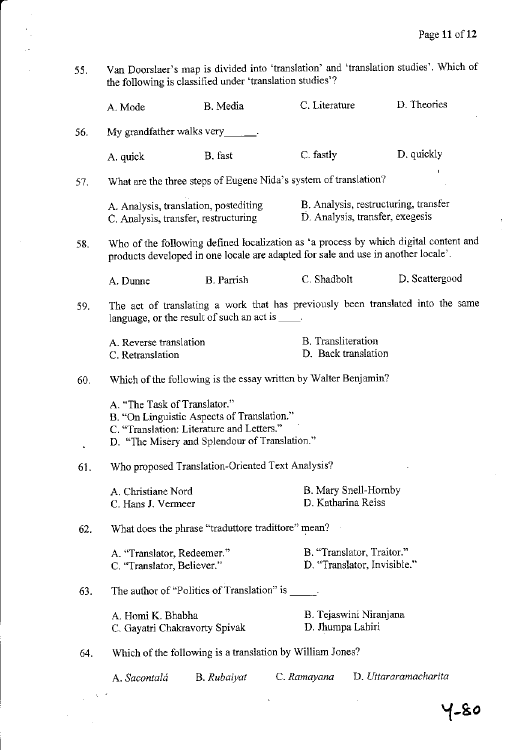$\boldsymbol{t}$ 

55. Van Doorslaer's map is divided into 'translation' and 'translation studies' Which of the following is classified under 'translation studies'?

 $\bar{z}$ 

l,

 $\zeta \to$ 

 $\mathcal{L}$ 

|                                                                                                                                                                          | A. Mode                                                                                                                                                                   | B. Media          | C. Literature                                                    | D. Theories                                                             |  |  |
|--------------------------------------------------------------------------------------------------------------------------------------------------------------------------|---------------------------------------------------------------------------------------------------------------------------------------------------------------------------|-------------------|------------------------------------------------------------------|-------------------------------------------------------------------------|--|--|
| 56.                                                                                                                                                                      | My grandfather walks very $\qquad \qquad$ .                                                                                                                               |                   |                                                                  |                                                                         |  |  |
|                                                                                                                                                                          | A. quick                                                                                                                                                                  | B. fast           | C. fastly                                                        | D. quickly                                                              |  |  |
| 57.                                                                                                                                                                      |                                                                                                                                                                           |                   | What are the three steps of Eugene Nida's system of translation? |                                                                         |  |  |
|                                                                                                                                                                          | A. Analysis, translation, postediting<br>C. Analysis, transfer, restructuring                                                                                             |                   |                                                                  | B. Analysis, restructuring, transfer<br>D. Analysis, transfer, exegesis |  |  |
| 58.                                                                                                                                                                      | Who of the following defined localization as 'a process by which digital content and<br>products developed in one locale are adapted for sale and use in another locale'. |                   |                                                                  |                                                                         |  |  |
|                                                                                                                                                                          | A. Dunne                                                                                                                                                                  | <b>B.</b> Parrish | C. Shadbolt                                                      | D. Scattergood                                                          |  |  |
| The act of translating a work that has previously been translated into the same<br>59.<br>language, or the result of such an act is ____.                                |                                                                                                                                                                           |                   |                                                                  |                                                                         |  |  |
|                                                                                                                                                                          | A. Reverse translation<br>C. Retranslation                                                                                                                                |                   |                                                                  | B. Transliteration<br>D. Back translation                               |  |  |
| Which of the following is the essay written by Walter Benjamin?<br>60.                                                                                                   |                                                                                                                                                                           |                   |                                                                  |                                                                         |  |  |
| A. "The Task of Translator."<br>B. "On Linguistic Aspects of Translation."<br>C. "Translation: Literature and Letters."<br>D. "The Misery and Splendour of Translation." |                                                                                                                                                                           |                   |                                                                  |                                                                         |  |  |
| 61.                                                                                                                                                                      | Who proposed Translation-Oriented Text Analysis?                                                                                                                          |                   |                                                                  |                                                                         |  |  |
|                                                                                                                                                                          | A. Christiane Nord<br>C. Hans J. Vermeer                                                                                                                                  |                   | B. Mary Snell-Hornby<br>D. Katharina Reiss                       |                                                                         |  |  |
| 62.                                                                                                                                                                      | What does the phrase "traduttore tradittore" mean?                                                                                                                        |                   |                                                                  |                                                                         |  |  |
|                                                                                                                                                                          | A. "Translator, Redeemer."<br>C. "Translator, Believer."                                                                                                                  |                   | B. "Translator, Traitor."<br>D. "Translator, Invisible."         |                                                                         |  |  |
| 63.                                                                                                                                                                      | The author of "Politics of Translation" is _____.                                                                                                                         |                   |                                                                  |                                                                         |  |  |
|                                                                                                                                                                          | A. Homi K. Bhabha<br>C. Gayatri Chakravorty Spivak                                                                                                                        |                   | B. Tejaswini Niranjana<br>D. Jhumpa Lahiri                       |                                                                         |  |  |
| 64.                                                                                                                                                                      |                                                                                                                                                                           |                   | Which of the following is a translation by William Jones?        |                                                                         |  |  |
|                                                                                                                                                                          | A. Sacontalá                                                                                                                                                              | B. Rubaiyat       | C. Ramayana                                                      | D. Uttararamacharita                                                    |  |  |

 $\bar{\mathcal{L}}$ 

 $\bar{\gamma}$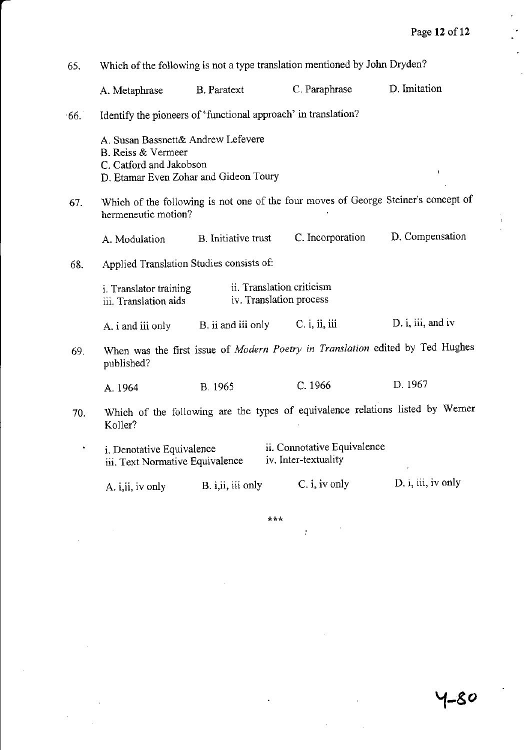$\cdot$ 

| 65. | Which of the following is not a type translation mentioned by John Dryden?                                                         |                            |                                                                               |                    |  |
|-----|------------------------------------------------------------------------------------------------------------------------------------|----------------------------|-------------------------------------------------------------------------------|--------------------|--|
|     | A. Metaphrase                                                                                                                      | <b>B.</b> Paratext         | C. Paraphrase                                                                 | D. Imitation       |  |
| 66. | Identify the pioneers of 'functional approach' in translation?                                                                     |                            |                                                                               |                    |  |
|     | A. Susan Bassnett& Andrew Lefevere<br>B. Reiss & Vermeer<br>C. Catford and Jakobson<br>t.<br>D. Etamar Even Zohar and Gideon Toury |                            |                                                                               |                    |  |
| 67. | Which of the following is not one of the four moves of George Steiner's concept of<br>hermeneutic motion?                          |                            |                                                                               |                    |  |
|     | A. Modulation                                                                                                                      | <b>B.</b> Initiative trust | C. Incorporation                                                              | D. Compensation    |  |
| 68. | Applied Translation Studies consists of:                                                                                           |                            |                                                                               |                    |  |
|     | ii. Translation criticism<br>i. Translator training<br>iv. Translation process<br>iii. Translation aids                            |                            |                                                                               |                    |  |
|     | A. i and iii only                                                                                                                  | B. ii and iii only         | C. i, ii, iii                                                                 | D. i, ii, and iv   |  |
| 69. | published?                                                                                                                         |                            | When was the first issue of Modern Poetry in Translation edited by Ted Hughes |                    |  |
|     | A. 1964                                                                                                                            | B. 1965                    | C.1966                                                                        | D. 1967            |  |
| 70. | Which of the following are the types of equivalence relations listed by Werner<br>Koller?                                          |                            |                                                                               |                    |  |
|     | i. Denotative Equivalence<br>iii. Text Normative Equivalence                                                                       |                            | ii. Connotative Equivalence<br>iv. Inter-textuality                           |                    |  |
|     | A. i, ii, iv only                                                                                                                  | B. i, ii, iii only         | C. i, iv only                                                                 | D. i, iii, iv only |  |
|     | $* * *$                                                                                                                            |                            |                                                                               |                    |  |
|     |                                                                                                                                    |                            | ÷,                                                                            |                    |  |

 $\ddot{\phantom{0}}$